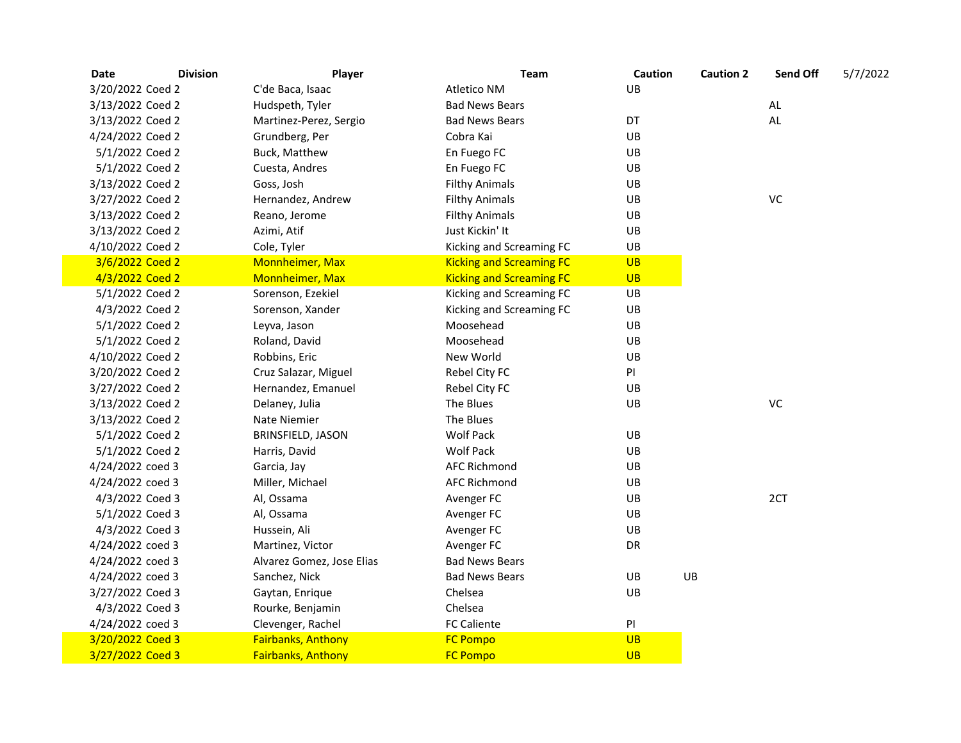| Date             | <b>Division</b><br>Player | Team                            | Caution   | <b>Caution 2</b> | Send Off      | 5/7/2022 |
|------------------|---------------------------|---------------------------------|-----------|------------------|---------------|----------|
| 3/20/2022 Coed 2 | C'de Baca, Isaac          | <b>Atletico NM</b>              | UB        |                  |               |          |
| 3/13/2022 Coed 2 | Hudspeth, Tyler           | <b>Bad News Bears</b>           |           |                  | $\mathsf{AL}$ |          |
| 3/13/2022 Coed 2 | Martinez-Perez, Sergio    | <b>Bad News Bears</b>           | DT        |                  | AL            |          |
| 4/24/2022 Coed 2 | Grundberg, Per            | Cobra Kai                       | UB        |                  |               |          |
| 5/1/2022 Coed 2  | Buck, Matthew             | En Fuego FC                     | UB        |                  |               |          |
| 5/1/2022 Coed 2  | Cuesta, Andres            | En Fuego FC                     | UB        |                  |               |          |
| 3/13/2022 Coed 2 | Goss, Josh                | <b>Filthy Animals</b>           | UB        |                  |               |          |
| 3/27/2022 Coed 2 | Hernandez, Andrew         | <b>Filthy Animals</b>           | UB        |                  | VC            |          |
| 3/13/2022 Coed 2 | Reano, Jerome             | <b>Filthy Animals</b>           | UB        |                  |               |          |
| 3/13/2022 Coed 2 | Azimi, Atif               | Just Kickin' It                 | UB        |                  |               |          |
| 4/10/2022 Coed 2 | Cole, Tyler               | Kicking and Screaming FC        | UB        |                  |               |          |
| 3/6/2022 Coed 2  | Monnheimer, Max           | <b>Kicking and Screaming FC</b> | <b>UB</b> |                  |               |          |
| 4/3/2022 Coed 2  | Monnheimer, Max           | <b>Kicking and Screaming FC</b> | <b>UB</b> |                  |               |          |
| 5/1/2022 Coed 2  | Sorenson, Ezekiel         | Kicking and Screaming FC        | UB        |                  |               |          |
| 4/3/2022 Coed 2  | Sorenson, Xander          | Kicking and Screaming FC        | UB        |                  |               |          |
| 5/1/2022 Coed 2  | Leyva, Jason              | Moosehead                       | UB        |                  |               |          |
| 5/1/2022 Coed 2  | Roland, David             | Moosehead                       | UB        |                  |               |          |
| 4/10/2022 Coed 2 | Robbins, Eric             | New World                       | UB        |                  |               |          |
| 3/20/2022 Coed 2 | Cruz Salazar, Miguel      | Rebel City FC                   | PI        |                  |               |          |
| 3/27/2022 Coed 2 | Hernandez, Emanuel        | Rebel City FC                   | UB        |                  |               |          |
| 3/13/2022 Coed 2 | Delaney, Julia            | The Blues                       | UB        |                  | VC            |          |
| 3/13/2022 Coed 2 | Nate Niemier              | The Blues                       |           |                  |               |          |
| 5/1/2022 Coed 2  | BRINSFIELD, JASON         | <b>Wolf Pack</b>                | UB        |                  |               |          |
| 5/1/2022 Coed 2  | Harris, David             | <b>Wolf Pack</b>                | UB        |                  |               |          |
| 4/24/2022 coed 3 | Garcia, Jay               | <b>AFC Richmond</b>             | UB        |                  |               |          |
| 4/24/2022 coed 3 | Miller, Michael           | <b>AFC Richmond</b>             | UB        |                  |               |          |
| 4/3/2022 Coed 3  | Al, Ossama                | Avenger FC                      | UB        |                  | 2CT           |          |
| 5/1/2022 Coed 3  | Al, Ossama                | Avenger FC                      | UB        |                  |               |          |
| 4/3/2022 Coed 3  | Hussein, Ali              | Avenger FC                      | UB        |                  |               |          |
| 4/24/2022 coed 3 | Martinez, Victor          | Avenger FC                      | DR        |                  |               |          |
| 4/24/2022 coed 3 | Alvarez Gomez, Jose Elias | <b>Bad News Bears</b>           |           |                  |               |          |
| 4/24/2022 coed 3 | Sanchez, Nick             | <b>Bad News Bears</b>           | UB        | UB               |               |          |
| 3/27/2022 Coed 3 | Gaytan, Enrique           | Chelsea                         | UB        |                  |               |          |
| 4/3/2022 Coed 3  | Rourke, Benjamin          | Chelsea                         |           |                  |               |          |
| 4/24/2022 coed 3 | Clevenger, Rachel         | <b>FC Caliente</b>              | PI        |                  |               |          |
| 3/20/2022 Coed 3 | <b>Fairbanks, Anthony</b> | <b>FC Pompo</b>                 | <b>UB</b> |                  |               |          |
| 3/27/2022 Coed 3 | <b>Fairbanks, Anthony</b> | <b>FC Pompo</b>                 | <b>UB</b> |                  |               |          |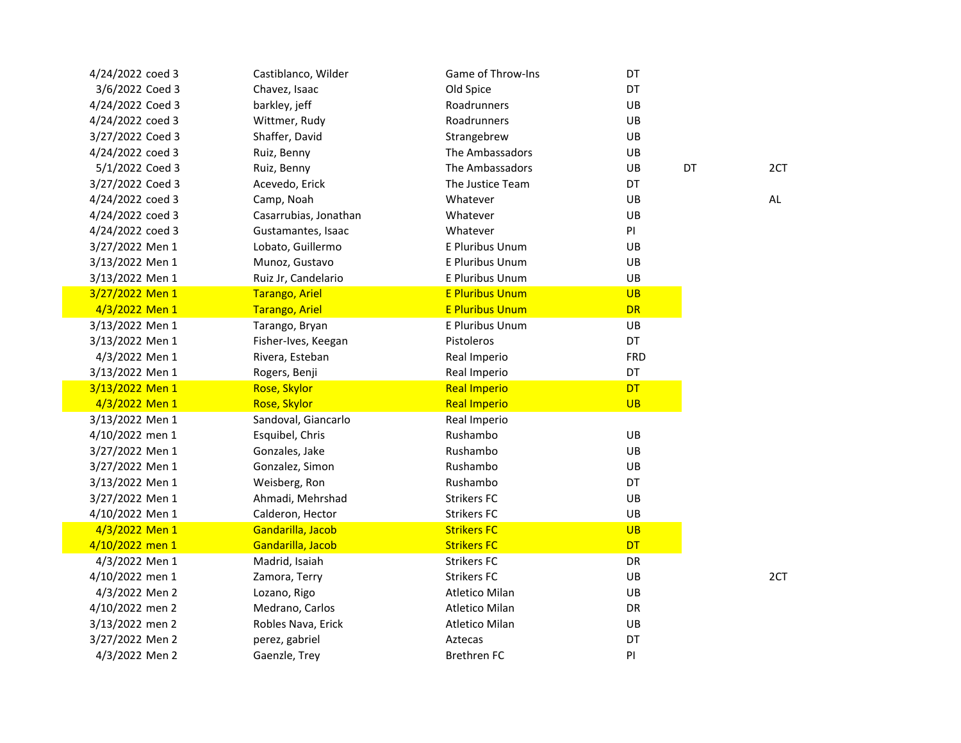| 4/24/2022 coed 3 | Castiblanco, Wilder   | Game of Throw-Ins      | DT         |    |    |
|------------------|-----------------------|------------------------|------------|----|----|
| 3/6/2022 Coed 3  | Chavez, Isaac         | Old Spice              | DT         |    |    |
| 4/24/2022 Coed 3 | barkley, jeff         | Roadrunners            | UB         |    |    |
| 4/24/2022 coed 3 | Wittmer, Rudy         | Roadrunners            | UB         |    |    |
| 3/27/2022 Coed 3 | Shaffer, David        | Strangebrew            | UB         |    |    |
| 4/24/2022 coed 3 | Ruiz, Benny           | The Ambassadors        | UB         |    |    |
| 5/1/2022 Coed 3  | Ruiz, Benny           | The Ambassadors        | UB         | DT | 2C |
| 3/27/2022 Coed 3 | Acevedo, Erick        | The Justice Team       | DT         |    |    |
| 4/24/2022 coed 3 | Camp, Noah            | Whatever               | UB         |    | AL |
| 4/24/2022 coed 3 | Casarrubias, Jonathan | Whatever               | UB         |    |    |
| 4/24/2022 coed 3 | Gustamantes, Isaac    | Whatever               | PI         |    |    |
| 3/27/2022 Men 1  | Lobato, Guillermo     | <b>E Pluribus Unum</b> | UB         |    |    |
| 3/13/2022 Men 1  | Munoz, Gustavo        | E Pluribus Unum        | UB         |    |    |
| 3/13/2022 Men 1  | Ruiz Jr, Candelario   | E Pluribus Unum        | UB         |    |    |
| 3/27/2022 Men 1  | <b>Tarango, Ariel</b> | <b>E Pluribus Unum</b> | <b>UB</b>  |    |    |
| 4/3/2022 Men 1   | <b>Tarango, Ariel</b> | <b>E Pluribus Unum</b> | <b>DR</b>  |    |    |
| 3/13/2022 Men 1  | Tarango, Bryan        | E Pluribus Unum        | UB         |    |    |
| 3/13/2022 Men 1  | Fisher-Ives, Keegan   | Pistoleros             | DT         |    |    |
| 4/3/2022 Men 1   | Rivera, Esteban       | Real Imperio           | <b>FRD</b> |    |    |
| 3/13/2022 Men 1  | Rogers, Benji         | Real Imperio           | DT         |    |    |
| 3/13/2022 Men 1  | Rose, Skylor          | <b>Real Imperio</b>    | <b>DT</b>  |    |    |
| 4/3/2022 Men 1   | <b>Rose, Skylor</b>   | <b>Real Imperio</b>    | <b>UB</b>  |    |    |
| 3/13/2022 Men 1  | Sandoval, Giancarlo   | Real Imperio           |            |    |    |
| 4/10/2022 men 1  | Esquibel, Chris       | Rushambo               | UB         |    |    |
| 3/27/2022 Men 1  | Gonzales, Jake        | Rushambo               | UB         |    |    |
| 3/27/2022 Men 1  | Gonzalez, Simon       | Rushambo               | UB         |    |    |
| 3/13/2022 Men 1  | Weisberg, Ron         | Rushambo               | DT         |    |    |
| 3/27/2022 Men 1  | Ahmadi, Mehrshad      | <b>Strikers FC</b>     | UB         |    |    |
| 4/10/2022 Men 1  | Calderon, Hector      | <b>Strikers FC</b>     | UB         |    |    |
| 4/3/2022 Men 1   | Gandarilla, Jacob     | <b>Strikers FC</b>     | <b>UB</b>  |    |    |
| 4/10/2022 men 1  | Gandarilla, Jacob     | <b>Strikers FC</b>     | <b>DT</b>  |    |    |
| 4/3/2022 Men 1   | Madrid, Isaiah        | <b>Strikers FC</b>     | DR         |    |    |
| 4/10/2022 men 1  | Zamora, Terry         | <b>Strikers FC</b>     | UB         |    | 2C |
| 4/3/2022 Men 2   | Lozano, Rigo          | Atletico Milan         | UB         |    |    |
| 4/10/2022 men 2  | Medrano, Carlos       | Atletico Milan         | DR         |    |    |
| 3/13/2022 men 2  | Robles Nava, Erick    | Atletico Milan         | UB         |    |    |
| 3/27/2022 Men 2  | perez, gabriel        | Aztecas                | DT         |    |    |
| 4/3/2022 Men 2   | Gaenzle, Trey         | <b>Brethren FC</b>     | PI         |    |    |
|                  |                       |                        |            |    |    |

2CT

2CT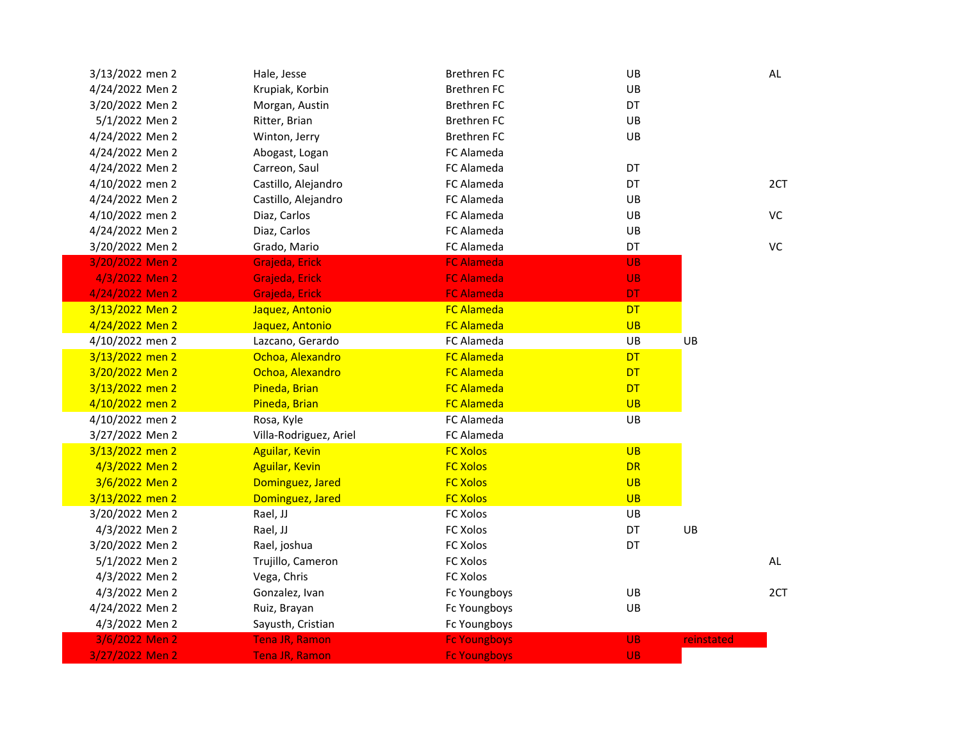| 3/13/2022 men 2 | Hale, Jesse            | <b>Brethren FC</b>  | UB        |            | AL  |
|-----------------|------------------------|---------------------|-----------|------------|-----|
| 4/24/2022 Men 2 | Krupiak, Korbin        | <b>Brethren FC</b>  | UB        |            |     |
| 3/20/2022 Men 2 | Morgan, Austin         | <b>Brethren FC</b>  | DT        |            |     |
| 5/1/2022 Men 2  | Ritter, Brian          | <b>Brethren FC</b>  | UB        |            |     |
| 4/24/2022 Men 2 | Winton, Jerry          | <b>Brethren FC</b>  | UB        |            |     |
| 4/24/2022 Men 2 | Abogast, Logan         | FC Alameda          |           |            |     |
| 4/24/2022 Men 2 | Carreon, Saul          | FC Alameda          | DT        |            |     |
| 4/10/2022 men 2 | Castillo, Alejandro    | FC Alameda          | DT        |            | 2CT |
| 4/24/2022 Men 2 | Castillo, Alejandro    | FC Alameda          | UB        |            |     |
| 4/10/2022 men 2 | Diaz, Carlos           | FC Alameda          | UB        |            | VC  |
| 4/24/2022 Men 2 | Diaz, Carlos           | FC Alameda          | UB        |            |     |
| 3/20/2022 Men 2 | Grado, Mario           | FC Alameda          | DT        |            | VC  |
| 3/20/2022 Men 2 | Grajeda, Erick         | <b>FC Alameda</b>   | <b>UB</b> |            |     |
| 4/3/2022 Men 2  | Grajeda, Erick         | <b>FC Alameda</b>   | <b>UB</b> |            |     |
| 4/24/2022 Men 2 | Grajeda, Erick         | <b>FC Alameda</b>   | <b>DT</b> |            |     |
| 3/13/2022 Men 2 | Jaquez, Antonio        | <b>FC Alameda</b>   | <b>DT</b> |            |     |
| 4/24/2022 Men 2 | Jaquez, Antonio        | <b>FC Alameda</b>   | <b>UB</b> |            |     |
| 4/10/2022 men 2 | Lazcano, Gerardo       | FC Alameda          | UB        | UB         |     |
| 3/13/2022 men 2 | Ochoa, Alexandro       | <b>FC Alameda</b>   | <b>DT</b> |            |     |
| 3/20/2022 Men 2 | Ochoa, Alexandro       | <b>FC Alameda</b>   | <b>DT</b> |            |     |
| 3/13/2022 men 2 | Pineda, Brian          | <b>FC Alameda</b>   | <b>DT</b> |            |     |
| 4/10/2022 men 2 | Pineda, Brian          | <b>FC Alameda</b>   | <b>UB</b> |            |     |
| 4/10/2022 men 2 | Rosa, Kyle             | FC Alameda          | UB        |            |     |
| 3/27/2022 Men 2 | Villa-Rodriguez, Ariel | FC Alameda          |           |            |     |
| 3/13/2022 men 2 | <b>Aguilar, Kevin</b>  | <b>FC Xolos</b>     | UB        |            |     |
| 4/3/2022 Men 2  | <b>Aguilar, Kevin</b>  | <b>FC Xolos</b>     | <b>DR</b> |            |     |
| 3/6/2022 Men 2  | Dominguez, Jared       | <b>FC Xolos</b>     | <b>UB</b> |            |     |
| 3/13/2022 men 2 | Dominguez, Jared       | <b>FC Xolos</b>     | <b>UB</b> |            |     |
| 3/20/2022 Men 2 | Rael, JJ               | FC Xolos            | UB        |            |     |
| 4/3/2022 Men 2  | Rael, JJ               | FC Xolos            | DT        | UB         |     |
| 3/20/2022 Men 2 | Rael, joshua           | FC Xolos            | DT        |            |     |
| 5/1/2022 Men 2  | Trujillo, Cameron      | FC Xolos            |           |            | AL  |
| 4/3/2022 Men 2  | Vega, Chris            | FC Xolos            |           |            |     |
| 4/3/2022 Men 2  | Gonzalez, Ivan         | Fc Youngboys        | UB        |            | 2CT |
| 4/24/2022 Men 2 | Ruiz, Brayan           | Fc Youngboys        | UB        |            |     |
| 4/3/2022 Men 2  | Sayusth, Cristian      | Fc Youngboys        |           |            |     |
| 3/6/2022 Men 2  | Tena JR, Ramon         | <b>Fc Youngboys</b> | <b>UB</b> | reinstated |     |
| 3/27/2022 Men 2 | Tena JR, Ramon         | <b>Fc Youngboys</b> | <b>UB</b> |            |     |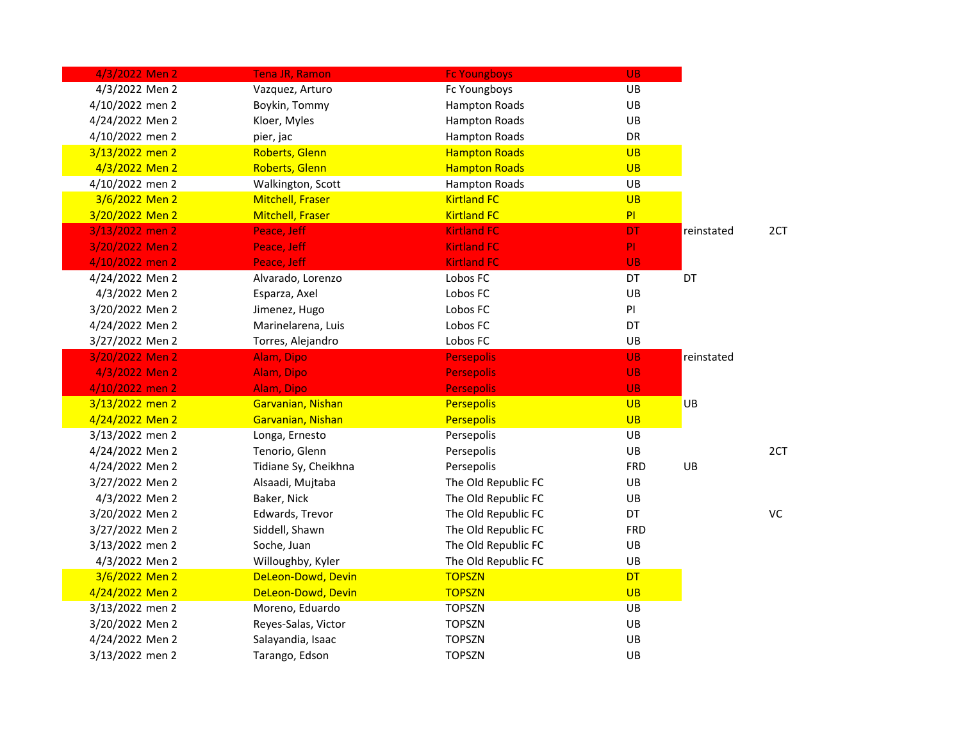| 4/3/2022 Men 2  | Tena JR, Ramon          | <b>Fc Youngboys</b>  | UB.        |            |           |
|-----------------|-------------------------|----------------------|------------|------------|-----------|
| 4/3/2022 Men 2  | Vazquez, Arturo         | Fc Youngboys         | UB         |            |           |
| 4/10/2022 men 2 | Boykin, Tommy           | <b>Hampton Roads</b> | UB         |            |           |
| 4/24/2022 Men 2 | Kloer, Myles            | <b>Hampton Roads</b> | UB         |            |           |
| 4/10/2022 men 2 | pier, jac               | <b>Hampton Roads</b> | DR         |            |           |
| 3/13/2022 men 2 | Roberts, Glenn          | <b>Hampton Roads</b> | <b>UB</b>  |            |           |
| 4/3/2022 Men 2  | <b>Roberts, Glenn</b>   | <b>Hampton Roads</b> | <b>UB</b>  |            |           |
| 4/10/2022 men 2 | Walkington, Scott       | <b>Hampton Roads</b> | UB         |            |           |
| 3/6/2022 Men 2  | <b>Mitchell, Fraser</b> | <b>Kirtland FC</b>   | <b>UB</b>  |            |           |
| 3/20/2022 Men 2 | <b>Mitchell, Fraser</b> | <b>Kirtland FC</b>   | PI         |            |           |
| 3/13/2022 men 2 | Peace, Jeff             | <b>Kirtland FC</b>   | <b>DT</b>  | reinstated | 2CT       |
| 3/20/2022 Men 2 | Peace, Jeff             | <b>Kirtland FC</b>   | PI.        |            |           |
| 4/10/2022 men 2 | Peace, Jeff             | <b>Kirtland FC</b>   | <b>UB</b>  |            |           |
| 4/24/2022 Men 2 | Alvarado, Lorenzo       | Lobos FC             | <b>DT</b>  | DT         |           |
| 4/3/2022 Men 2  | Esparza, Axel           | Lobos FC             | UB         |            |           |
| 3/20/2022 Men 2 | Jimenez, Hugo           | Lobos FC             | PI         |            |           |
| 4/24/2022 Men 2 | Marinelarena, Luis      | Lobos FC             | DT         |            |           |
| 3/27/2022 Men 2 | Torres, Alejandro       | Lobos FC             | UB         |            |           |
| 3/20/2022 Men 2 | Alam, Dipo              | <b>Persepolis</b>    | <b>UB</b>  | reinstated |           |
| 4/3/2022 Men 2  | Alam, Dipo              | <b>Persepolis</b>    | <b>UB</b>  |            |           |
| 4/10/2022 men 2 | Alam, Dipo              | <b>Persepolis</b>    | <b>UB</b>  |            |           |
| 3/13/2022 men 2 | Garvanian, Nishan       | <b>Persepolis</b>    | <b>UB</b>  | UB         |           |
| 4/24/2022 Men 2 | Garvanian, Nishan       | <b>Persepolis</b>    | <b>UB</b>  |            |           |
| 3/13/2022 men 2 | Longa, Ernesto          | Persepolis           | UB         |            |           |
| 4/24/2022 Men 2 | Tenorio, Glenn          | Persepolis           | UB         |            | 2CT       |
| 4/24/2022 Men 2 | Tidiane Sy, Cheikhna    | Persepolis           | <b>FRD</b> | UB         |           |
| 3/27/2022 Men 2 | Alsaadi, Mujtaba        | The Old Republic FC  | UB         |            |           |
| 4/3/2022 Men 2  | Baker, Nick             | The Old Republic FC  | UB         |            |           |
| 3/20/2022 Men 2 | Edwards, Trevor         | The Old Republic FC  | DT         |            | <b>VC</b> |
| 3/27/2022 Men 2 | Siddell, Shawn          | The Old Republic FC  | <b>FRD</b> |            |           |
| 3/13/2022 men 2 | Soche, Juan             | The Old Republic FC  | UB         |            |           |
| 4/3/2022 Men 2  | Willoughby, Kyler       | The Old Republic FC  | UB         |            |           |
| 3/6/2022 Men 2  | DeLeon-Dowd, Devin      | <b>TOPSZN</b>        | <b>DT</b>  |            |           |
| 4/24/2022 Men 2 | DeLeon-Dowd, Devin      | <b>TOPSZN</b>        | <b>UB</b>  |            |           |
| 3/13/2022 men 2 | Moreno, Eduardo         | <b>TOPSZN</b>        | UB         |            |           |
| 3/20/2022 Men 2 | Reyes-Salas, Victor     | <b>TOPSZN</b>        | UB         |            |           |
| 4/24/2022 Men 2 | Salayandia, Isaac       | <b>TOPSZN</b>        | UB         |            |           |
| 3/13/2022 men 2 | Tarango, Edson          | <b>TOPSZN</b>        | UB         |            |           |
|                 |                         |                      |            |            |           |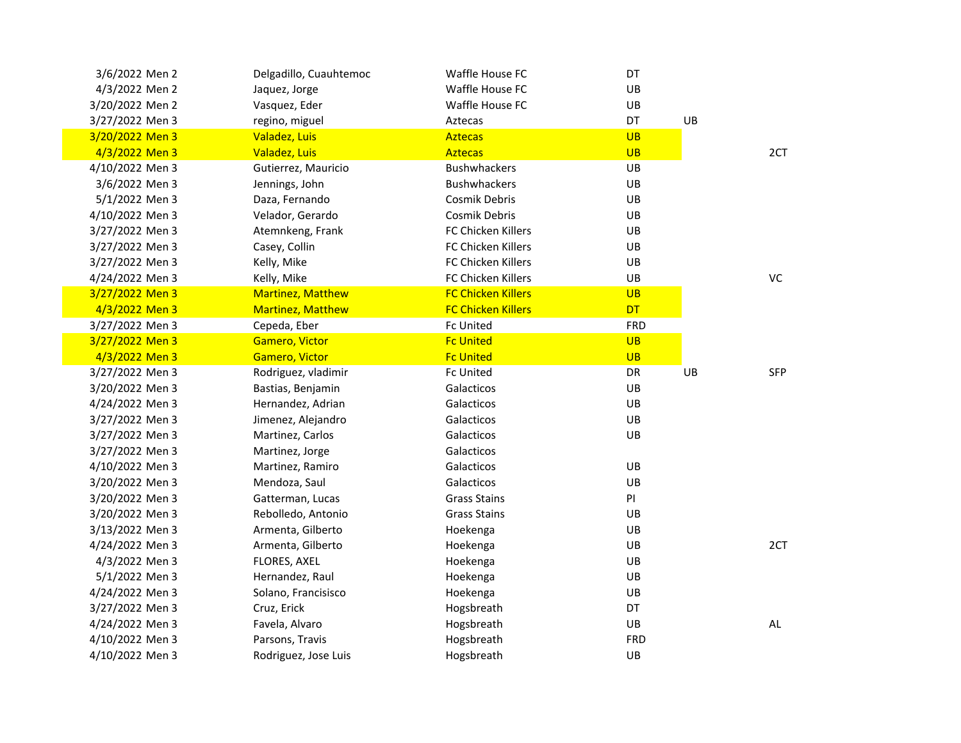| 3/6/2022 Men 2  | Delgadillo, Cuauhtemoc   | Waffle House FC           | DT         |    |            |
|-----------------|--------------------------|---------------------------|------------|----|------------|
| 4/3/2022 Men 2  | Jaquez, Jorge            | Waffle House FC           | UB         |    |            |
| 3/20/2022 Men 2 | Vasquez, Eder            | Waffle House FC           | UB         |    |            |
| 3/27/2022 Men 3 | regino, miguel           | Aztecas                   | DT         | UB |            |
| 3/20/2022 Men 3 | Valadez, Luis            | <b>Aztecas</b>            | <b>UB</b>  |    |            |
| 4/3/2022 Men 3  | Valadez, Luis            | <b>Aztecas</b>            | <b>UB</b>  |    | 2CT        |
| 4/10/2022 Men 3 | Gutierrez, Mauricio      | <b>Bushwhackers</b>       | UB         |    |            |
| 3/6/2022 Men 3  | Jennings, John           | <b>Bushwhackers</b>       | UB         |    |            |
| 5/1/2022 Men 3  | Daza, Fernando           | Cosmik Debris             | UB         |    |            |
| 4/10/2022 Men 3 | Velador, Gerardo         | Cosmik Debris             | UB         |    |            |
| 3/27/2022 Men 3 | Atemnkeng, Frank         | <b>FC Chicken Killers</b> | UB         |    |            |
| 3/27/2022 Men 3 | Casey, Collin            | <b>FC Chicken Killers</b> | UB         |    |            |
| 3/27/2022 Men 3 | Kelly, Mike              | FC Chicken Killers        | UB         |    |            |
| 4/24/2022 Men 3 | Kelly, Mike              | FC Chicken Killers        | UB         |    | VC         |
| 3/27/2022 Men 3 | Martinez, Matthew        | <b>FC Chicken Killers</b> | <b>UB</b>  |    |            |
| 4/3/2022 Men 3  | <b>Martinez, Matthew</b> | <b>FC Chicken Killers</b> | <b>DT</b>  |    |            |
| 3/27/2022 Men 3 | Cepeda, Eber             | <b>Fc United</b>          | <b>FRD</b> |    |            |
| 3/27/2022 Men 3 | Gamero, Victor           | <b>Fc United</b>          | <b>UB</b>  |    |            |
| 4/3/2022 Men 3  | Gamero, Victor           | <b>Fc United</b>          | <b>UB</b>  |    |            |
| 3/27/2022 Men 3 | Rodriguez, vladimir      | Fc United                 | DR         | UB | <b>SFP</b> |
| 3/20/2022 Men 3 | Bastias, Benjamin        | Galacticos                | UB         |    |            |
| 4/24/2022 Men 3 | Hernandez, Adrian        | Galacticos                | UB         |    |            |
| 3/27/2022 Men 3 | Jimenez, Alejandro       | Galacticos                | UB         |    |            |
| 3/27/2022 Men 3 | Martinez, Carlos         | Galacticos                | UB         |    |            |
| 3/27/2022 Men 3 | Martinez, Jorge          | Galacticos                |            |    |            |
| 4/10/2022 Men 3 | Martinez, Ramiro         | Galacticos                | UB         |    |            |
| 3/20/2022 Men 3 | Mendoza, Saul            | Galacticos                | UB         |    |            |
| 3/20/2022 Men 3 | Gatterman, Lucas         | <b>Grass Stains</b>       | PI         |    |            |
| 3/20/2022 Men 3 | Rebolledo, Antonio       | <b>Grass Stains</b>       | UB         |    |            |
| 3/13/2022 Men 3 | Armenta, Gilberto        | Hoekenga                  | UB         |    |            |
| 4/24/2022 Men 3 | Armenta, Gilberto        | Hoekenga                  | UB         |    | 2CT        |
| 4/3/2022 Men 3  | FLORES, AXEL             | Hoekenga                  | UB         |    |            |
| 5/1/2022 Men 3  | Hernandez, Raul          | Hoekenga                  | UB         |    |            |
| 4/24/2022 Men 3 | Solano, Francisisco      | Hoekenga                  | UB         |    |            |
| 3/27/2022 Men 3 | Cruz, Erick              | Hogsbreath                | DT         |    |            |
| 4/24/2022 Men 3 | Favela, Alvaro           | Hogsbreath                | UB         |    | AL         |
| 4/10/2022 Men 3 | Parsons, Travis          | Hogsbreath                | <b>FRD</b> |    |            |
| 4/10/2022 Men 3 | Rodriguez, Jose Luis     | Hogsbreath                | UB         |    |            |
|                 |                          |                           |            |    |            |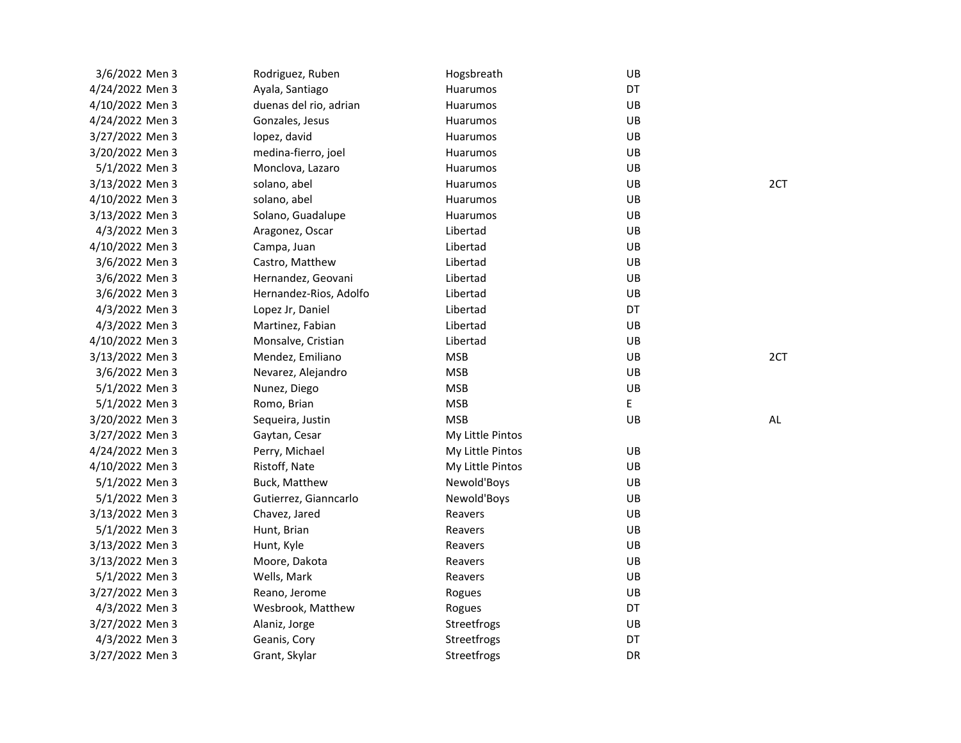| 3/6/2022 Men 3  | Rodriguez, Ruben       | Hogsbreath       | UB |     |
|-----------------|------------------------|------------------|----|-----|
| 4/24/2022 Men 3 | Ayala, Santiago        | Huarumos         | DT |     |
| 4/10/2022 Men 3 | duenas del rio, adrian | Huarumos         | UB |     |
| 4/24/2022 Men 3 | Gonzales, Jesus        | Huarumos         | UB |     |
| 3/27/2022 Men 3 | lopez, david           | Huarumos         | UB |     |
| 3/20/2022 Men 3 | medina-fierro, joel    | Huarumos         | UB |     |
| 5/1/2022 Men 3  | Monclova, Lazaro       | Huarumos         | UB |     |
| 3/13/2022 Men 3 | solano, abel           | Huarumos         | UB | 2CT |
| 4/10/2022 Men 3 | solano, abel           | Huarumos         | UB |     |
| 3/13/2022 Men 3 | Solano, Guadalupe      | Huarumos         | UB |     |
| 4/3/2022 Men 3  | Aragonez, Oscar        | Libertad         | UB |     |
| 4/10/2022 Men 3 | Campa, Juan            | Libertad         | UB |     |
| 3/6/2022 Men 3  | Castro, Matthew        | Libertad         | UB |     |
| 3/6/2022 Men 3  | Hernandez, Geovani     | Libertad         | UB |     |
| 3/6/2022 Men 3  | Hernandez-Rios, Adolfo | Libertad         | UB |     |
| 4/3/2022 Men 3  | Lopez Jr, Daniel       | Libertad         | DT |     |
| 4/3/2022 Men 3  | Martinez, Fabian       | Libertad         | UB |     |
| 4/10/2022 Men 3 | Monsalve, Cristian     | Libertad         | UB |     |
| 3/13/2022 Men 3 | Mendez, Emiliano       | <b>MSB</b>       | UB | 2CT |
| 3/6/2022 Men 3  | Nevarez, Alejandro     | <b>MSB</b>       | UB |     |
| 5/1/2022 Men 3  | Nunez, Diego           | <b>MSB</b>       | UB |     |
| 5/1/2022 Men 3  | Romo, Brian            | <b>MSB</b>       | E  |     |
| 3/20/2022 Men 3 | Sequeira, Justin       | <b>MSB</b>       | UB | AL  |
| 3/27/2022 Men 3 | Gaytan, Cesar          | My Little Pintos |    |     |
| 4/24/2022 Men 3 | Perry, Michael         | My Little Pintos | UB |     |
| 4/10/2022 Men 3 | Ristoff, Nate          | My Little Pintos | UB |     |
| 5/1/2022 Men 3  | Buck, Matthew          | Newold'Boys      | UB |     |
| 5/1/2022 Men 3  | Gutierrez, Gianncarlo  | Newold'Boys      | UB |     |
| 3/13/2022 Men 3 | Chavez, Jared          | Reavers          | UB |     |
| 5/1/2022 Men 3  | Hunt, Brian            | Reavers          | UB |     |
| 3/13/2022 Men 3 | Hunt, Kyle             | Reavers          | UB |     |
| 3/13/2022 Men 3 | Moore, Dakota          | Reavers          | UB |     |
| 5/1/2022 Men 3  | Wells, Mark            | Reavers          | UB |     |
| 3/27/2022 Men 3 | Reano, Jerome          | Rogues           | UB |     |
| 4/3/2022 Men 3  | Wesbrook, Matthew      | Rogues           | DT |     |
| 3/27/2022 Men 3 | Alaniz, Jorge          | Streetfrogs      | UB |     |
| 4/3/2022 Men 3  | Geanis, Cory           | Streetfrogs      | DT |     |
| 3/27/2022 Men 3 | Grant, Skylar          | Streetfrogs      | DR |     |
|                 |                        |                  |    |     |

2CT